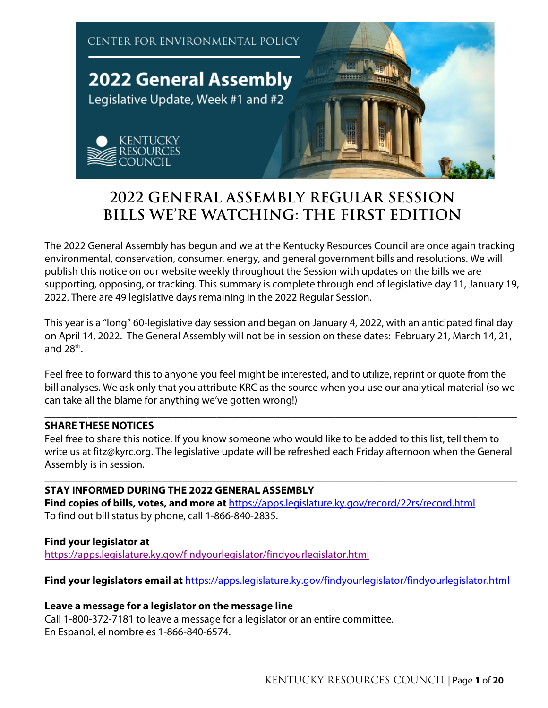

# **2022 GENERAL ASSEMBLY REGULAR SESSION BILLS WE'RE WATCHING: THE FIRST EDITION**

The 2022 General Assembly has begun and we at the Kentucky Resources Council are once again tracking environmental, conservation, consumer, energy, and general government bills and resolutions. We will publish this notice on our website weekly throughout the Session with updates on the bills we are supporting, opposing, or tracking. This summary is complete through end of legislative day 11, January 19, 2022. There are 49 legislative days remaining in the 2022 Regular Session.

This year is a "long" 60-legislative day session and began on January 4, 2022, with an anticipated final day on April 14, 2022. The General Assembly will not be in session on these dates: February 21, March 14, 21, and  $28<sup>th</sup>$ .

Feel free to forward this to anyone you feel might be interested, and to utilize, reprint or quote from the bill analyses. We ask only that you attribute KRC as the source when you use our analytical material (so we can take all the blame for anything we've gotten wrong!)

**\_\_\_\_\_\_\_\_\_\_\_\_\_\_\_\_\_\_\_\_\_\_\_\_\_\_\_\_\_\_\_\_\_\_\_\_\_\_\_\_\_\_\_\_\_\_\_\_\_\_\_\_\_\_\_\_\_\_\_\_\_\_\_\_\_\_\_\_\_\_\_\_\_\_\_\_\_\_\_\_\_\_\_\_\_\_\_\_**

# **SHARE THESE NOTICES**

Feel free to share this notice. If you know someone who would like to be added to this list, tell them to write us at fitz@kyrc.org. The legislative update will be refreshed each Friday afternoon when the General Assembly is in session.

#### **\_\_\_\_\_\_\_\_\_\_\_\_\_\_\_\_\_\_\_\_\_\_\_\_\_\_\_\_\_\_\_\_\_\_\_\_\_\_\_\_\_\_\_\_\_\_\_\_\_\_\_\_\_\_\_\_\_\_\_\_\_\_\_\_\_\_\_\_\_\_\_\_\_\_\_\_\_\_\_\_\_\_\_\_\_\_\_\_ STAY INFORMED DURING THE 2022 GENERAL ASSEMBLY**

**Find copies of bills, votes, and more at** https://apps.legislature.ky.gov/record/22rs/record.html To find out bill status by phone, call 1-866-840-2835.

# **Find your legislator at**

https://apps.legislature.ky.gov/findyourlegislator/findyourlegislator.html

**Find your legislators email at** https://apps.legislature.ky.gov/findyourlegislator/findyourlegislator.html

## **Leave a message for a legislator on the message line**

Call 1-800-372-7181 to leave a message for a legislator or an entire committee. En Espanol, el nombre es 1-866-840-6574.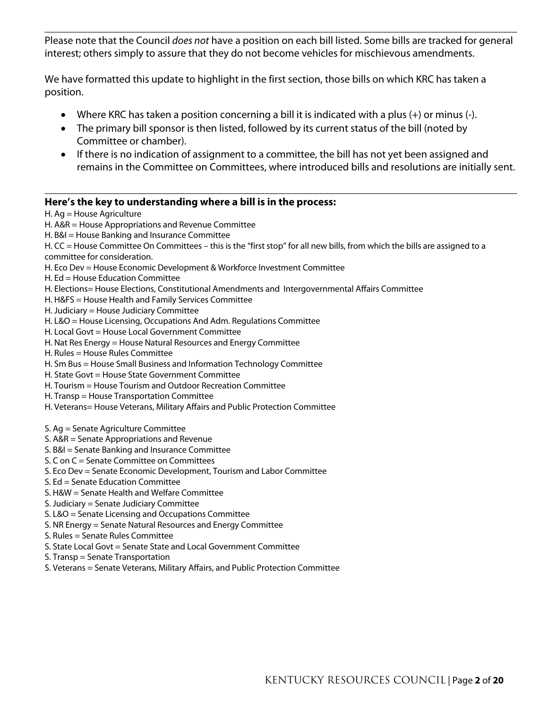Please note that the Council *does not* have a position on each bill listed. Some bills are tracked for general interest; others simply to assure that they do not become vehicles for mischievous amendments.

**\_\_\_\_\_\_\_\_\_\_\_\_\_\_\_\_\_\_\_\_\_\_\_\_\_\_\_\_\_\_\_\_\_\_\_\_\_\_\_\_\_\_\_\_\_\_\_\_\_\_\_\_\_\_\_\_\_\_\_\_\_\_\_\_\_\_\_\_\_\_\_\_\_\_\_\_\_\_\_\_\_\_\_\_\_\_\_\_**

We have formatted this update to highlight in the first section, those bills on which KRC has taken a position.

- Where KRC has taken a position concerning a bill it is indicated with a plus (+) or minus (-).
- The primary bill sponsor is then listed, followed by its current status of the bill (noted by Committee or chamber).
- If there is no indication of assignment to a committee, the bill has not yet been assigned and remains in the Committee on Committees, where introduced bills and resolutions are initially sent.

**\_\_\_\_\_\_\_\_\_\_\_\_\_\_\_\_\_\_\_\_\_\_\_\_\_\_\_\_\_\_\_\_\_\_\_\_\_\_\_\_\_\_\_\_\_\_\_\_\_\_\_\_\_\_\_\_\_\_\_\_\_\_\_\_\_\_\_\_\_\_\_\_\_\_\_\_\_\_\_\_\_\_\_\_\_\_\_\_**

#### **Here's the key to understanding where a bill is in the process:**

H. Ag = House Agriculture

#### H. A&R = House Appropriations and Revenue Committee

H. B&I = House Banking and Insurance Committee

H. CC = House Committee On Committees - this is the "first stop" for all new bills, from which the bills are assigned to a committee for consideration.

- H. Eco Dev = House Economic Development & Workforce Investment Committee
- H. Ed = House Education Committee
- H. Elections= House Elections, Constitutional Amendments and Intergovernmental Affairs Committee
- H. H&FS = House Health and Family Services Committee
- H. Judiciary = House Judiciary Committee
- H. L&O = House Licensing, Occupations And Adm. Regulations Committee
- H. Local Govt = House Local Government Committee
- H. Nat Res Energy = House Natural Resources and Energy Committee
- H. Rules = House Rules Committee
- H. Sm Bus = House Small Business and Information Technology Committee
- H. State Govt = House State Government Committee
- H. Tourism = House Tourism and Outdoor Recreation Committee
- H. Transp = House Transportation Committee
- H. Veterans= House Veterans, Military Affairs and Public Protection Committee
- S. Ag = Senate Agriculture Committee
- S. A&R = Senate Appropriations and Revenue
- S. B&I = Senate Banking and Insurance Committee
- S. C on C = Senate Committee on Committees
- S. Eco Dev = Senate Economic Development, Tourism and Labor Committee
- S. Ed = Senate Education Committee
- S. H&W = Senate Health and Welfare Committee
- S. Judiciary = Senate Judiciary Committee
- S. L&O = Senate Licensing and Occupations Committee
- S. NR Energy = Senate Natural Resources and Energy Committee
- S. Rules = Senate Rules Committee
- S. State Local Govt = Senate State and Local Government Committee
- S. Transp = Senate Transportation
- S. Veterans = Senate Veterans, Military Affairs, and Public Protection Committee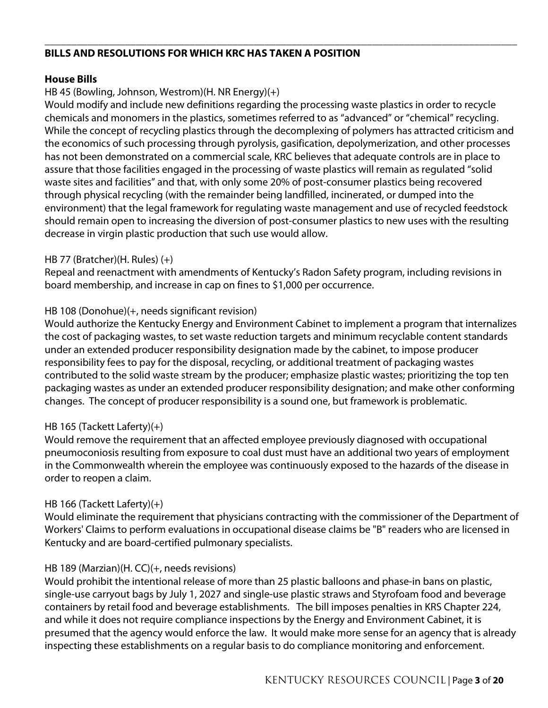#### **\_\_\_\_\_\_\_\_\_\_\_\_\_\_\_\_\_\_\_\_\_\_\_\_\_\_\_\_\_\_\_\_\_\_\_\_\_\_\_\_\_\_\_\_\_\_\_\_\_\_\_\_\_\_\_\_\_\_\_\_\_\_\_\_\_\_\_\_\_\_\_\_\_\_\_\_\_\_\_\_\_\_\_\_\_\_\_\_ BILLS AND RESOLUTIONS FOR WHICH KRC HAS TAKEN A POSITION**

# **House Bills**

# HB 45 (Bowling, Johnson, Westrom)(H. NR Energy)(+)

Would modify and include new definitions regarding the processing waste plastics in order to recycle chemicals and monomers in the plastics, sometimes referred to as "advanced" or "chemical" recycling. While the concept of recycling plastics through the decomplexing of polymers has attracted criticism and the economics of such processing through pyrolysis, gasification, depolymerization, and other processes has not been demonstrated on a commercial scale, KRC believes that adequate controls are in place to assure that those facilities engaged in the processing of waste plastics will remain as regulated "solid waste sites and facilities" and that, with only some 20% of post-consumer plastics being recovered through physical recycling (with the remainder being landfilled, incinerated, or dumped into the environment) that the legal framework for regulating waste management and use of recycled feedstock should remain open to increasing the diversion of post-consumer plastics to new uses with the resulting decrease in virgin plastic production that such use would allow.

## HB 77 (Bratcher)(H. Rules) (+)

Repeal and reenactment with amendments of Kentucky's Radon Safety program, including revisions in board membership, and increase in cap on fines to \$1,000 per occurrence.

# HB 108 (Donohue)(+, needs significant revision)

Would authorize the Kentucky Energy and Environment Cabinet to implement a program that internalizes the cost of packaging wastes, to set waste reduction targets and minimum recyclable content standards under an extended producer responsibility designation made by the cabinet, to impose producer responsibility fees to pay for the disposal, recycling, or additional treatment of packaging wastes contributed to the solid waste stream by the producer; emphasize plastic wastes; prioritizing the top ten packaging wastes as under an extended producer responsibility designation; and make other conforming changes. The concept of producer responsibility is a sound one, but framework is problematic.

# HB 165 (Tackett Laferty)(+)

Would remove the requirement that an affected employee previously diagnosed with occupational pneumoconiosis resulting from exposure to coal dust must have an additional two years of employment in the Commonwealth wherein the employee was continuously exposed to the hazards of the disease in order to reopen a claim.

# HB 166 (Tackett Laferty)(+)

Would eliminate the requirement that physicians contracting with the commissioner of the Department of Workers' Claims to perform evaluations in occupational disease claims be "B" readers who are licensed in Kentucky and are board-certified pulmonary specialists.

# HB 189 (Marzian)(H. CC)(+, needs revisions)

Would prohibit the intentional release of more than 25 plastic balloons and phase-in bans on plastic, single-use carryout bags by July 1, 2027 and single-use plastic straws and Styrofoam food and beverage containers by retail food and beverage establishments. The bill imposes penalties in KRS Chapter 224, and while it does not require compliance inspections by the Energy and Environment Cabinet, it is presumed that the agency would enforce the law. It would make more sense for an agency that is already inspecting these establishments on a regular basis to do compliance monitoring and enforcement.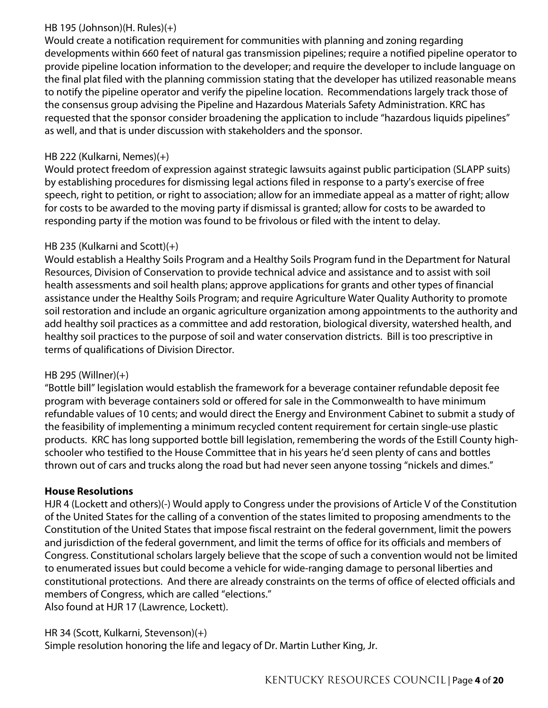# HB 195 (Johnson)(H. Rules)(+)

Would create a notification requirement for communities with planning and zoning regarding developments within 660 feet of natural gas transmission pipelines; require a notified pipeline operator to provide pipeline location information to the developer; and require the developer to include language on the final plat filed with the planning commission stating that the developer has utilized reasonable means to notify the pipeline operator and verify the pipeline location. Recommendations largely track those of the consensus group advising the Pipeline and Hazardous Materials Safety Administration. KRC has requested that the sponsor consider broadening the application to include "hazardous liquids pipelines" as well, and that is under discussion with stakeholders and the sponsor.

# HB 222 (Kulkarni, Nemes)(+)

Would protect freedom of expression against strategic lawsuits against public participation (SLAPP suits) by establishing procedures for dismissing legal actions filed in response to a party's exercise of free speech, right to petition, or right to association; allow for an immediate appeal as a matter of right; allow for costs to be awarded to the moving party if dismissal is granted; allow for costs to be awarded to responding party if the motion was found to be frivolous or filed with the intent to delay.

# HB 235 (Kulkarni and Scott)(+)

Would establish a Healthy Soils Program and a Healthy Soils Program fund in the Department for Natural Resources, Division of Conservation to provide technical advice and assistance and to assist with soil health assessments and soil health plans; approve applications for grants and other types of financial assistance under the Healthy Soils Program; and require Agriculture Water Quality Authority to promote soil restoration and include an organic agriculture organization among appointments to the authority and add healthy soil practices as a committee and add restoration, biological diversity, watershed health, and healthy soil practices to the purpose of soil and water conservation districts. Bill is too prescriptive in terms of qualifications of Division Director.

## HB 295 (Willner)(+)

"Bottle bill" legislation would establish the framework for a beverage container refundable deposit fee program with beverage containers sold or offered for sale in the Commonwealth to have minimum refundable values of 10 cents; and would direct the Energy and Environment Cabinet to submit a study of the feasibility of implementing a minimum recycled content requirement for certain single-use plastic products. KRC has long supported bottle bill legislation, remembering the words of the Estill County highschooler who testified to the House Committee that in his years he'd seen plenty of cans and bottles thrown out of cars and trucks along the road but had never seen anyone tossing "nickels and dimes."

## **House Resolutions**

HJR 4 (Lockett and others)(-) Would apply to Congress under the provisions of Article V of the Constitution of the United States for the calling of a convention of the states limited to proposing amendments to the Constitution of the United States that impose fiscal restraint on the federal government, limit the powers and jurisdiction of the federal government, and limit the terms of office for its officials and members of Congress. Constitutional scholars largely believe that the scope of such a convention would not be limited to enumerated issues but could become a vehicle for wide-ranging damage to personal liberties and constitutional protections. And there are already constraints on the terms of office of elected officials and members of Congress, which are called "elections." Also found at HJR 17 (Lawrence, Lockett).

HR 34 (Scott, Kulkarni, Stevenson)(+)

Simple resolution honoring the life and legacy of Dr. Martin Luther King, Jr.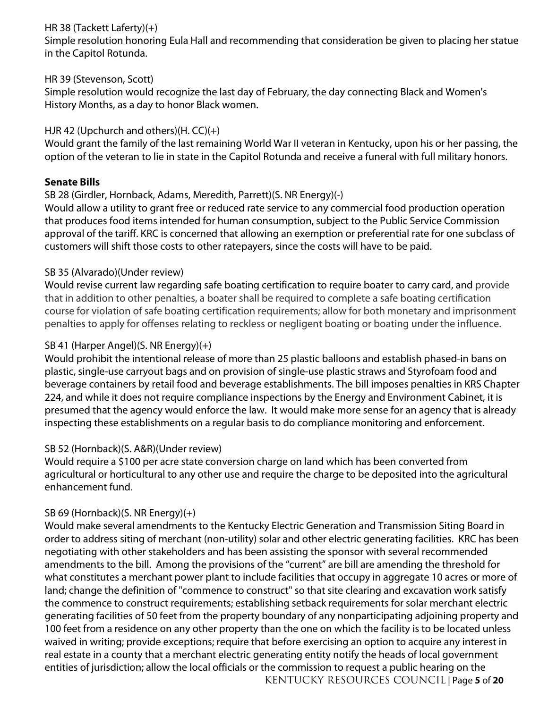# HR 38 (Tackett Laferty)(+)

Simple resolution honoring Eula Hall and recommending that consideration be given to placing her statue in the Capitol Rotunda.

## HR 39 (Stevenson, Scott)

Simple resolution would recognize the last day of February, the day connecting Black and Women's History Months, as a day to honor Black women.

# HJR 42 (Upchurch and others)(H. CC)(+)

Would grant the family of the last remaining World War II veteran in Kentucky, upon his or her passing, the option of the veteran to lie in state in the Capitol Rotunda and receive a funeral with full military honors.

## **Senate Bills**

## SB 28 (Girdler, Hornback, Adams, Meredith, Parrett)(S. NR Energy)(-)

Would allow a utility to grant free or reduced rate service to any commercial food production operation that produces food items intended for human consumption, subject to the Public Service Commission approval of the tariff. KRC is concerned that allowing an exemption or preferential rate for one subclass of customers will shift those costs to other ratepayers, since the costs will have to be paid.

## SB 35 (Alvarado)(Under review)

Would revise current law regarding safe boating certification to require boater to carry card, and provide that in addition to other penalties, a boater shall be required to complete a safe boating certification course for violation of safe boating certification requirements; allow for both monetary and imprisonment penalties to apply for offenses relating to reckless or negligent boating or boating under the influence.

## SB 41 (Harper Angel)(S. NR Energy)(+)

Would prohibit the intentional release of more than 25 plastic balloons and establish phased-in bans on plastic, single-use carryout bags and on provision of single-use plastic straws and Styrofoam food and beverage containers by retail food and beverage establishments. The bill imposes penalties in KRS Chapter 224, and while it does not require compliance inspections by the Energy and Environment Cabinet, it is presumed that the agency would enforce the law. It would make more sense for an agency that is already inspecting these establishments on a regular basis to do compliance monitoring and enforcement.

# SB 52 (Hornback)(S. A&R)(Under review)

Would require a \$100 per acre state conversion charge on land which has been converted from agricultural or horticultural to any other use and require the charge to be deposited into the agricultural enhancement fund.

# SB 69 (Hornback)(S. NR Energy)(+)

KENTUCKY RESOURCES COUNCIL | Page **5** of **20** Would make several amendments to the Kentucky Electric Generation and Transmission Siting Board in order to address siting of merchant (non-utility) solar and other electric generating facilities. KRC has been negotiating with other stakeholders and has been assisting the sponsor with several recommended amendments to the bill. Among the provisions of the "current" are bill are amending the threshold for what constitutes a merchant power plant to include facilities that occupy in aggregate 10 acres or more of land; change the definition of "commence to construct" so that site clearing and excavation work satisfy the commence to construct requirements; establishing setback requirements for solar merchant electric generating facilities of 50 feet from the property boundary of any nonparticipating adjoining property and 100 feet from a residence on any other property than the one on which the facility is to be located unless waived in writing; provide exceptions; require that before exercising an option to acquire any interest in real estate in a county that a merchant electric generating entity notify the heads of local government entities of jurisdiction; allow the local officials or the commission to request a public hearing on the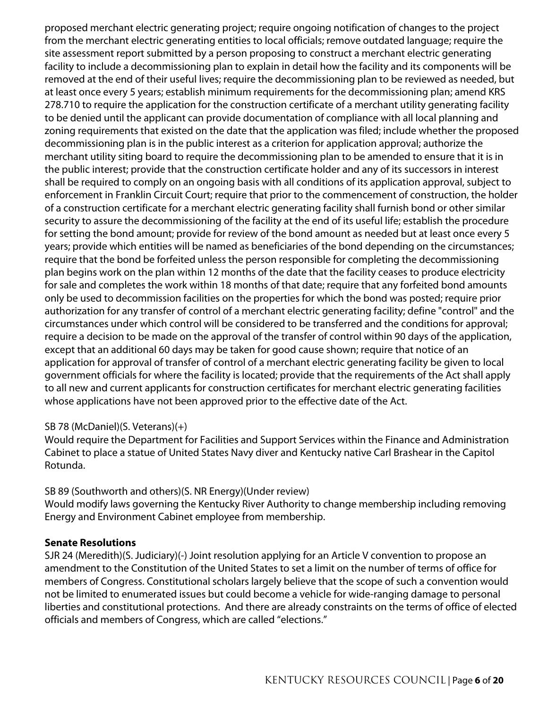proposed merchant electric generating project; require ongoing notification of changes to the project from the merchant electric generating entities to local officials; remove outdated language; require the site assessment report submitted by a person proposing to construct a merchant electric generating facility to include a decommissioning plan to explain in detail how the facility and its components will be removed at the end of their useful lives; require the decommissioning plan to be reviewed as needed, but at least once every 5 years; establish minimum requirements for the decommissioning plan; amend KRS 278.710 to require the application for the construction certificate of a merchant utility generating facility to be denied until the applicant can provide documentation of compliance with all local planning and zoning requirements that existed on the date that the application was filed; include whether the proposed decommissioning plan is in the public interest as a criterion for application approval; authorize the merchant utility siting board to require the decommissioning plan to be amended to ensure that it is in the public interest; provide that the construction certificate holder and any of its successors in interest shall be required to comply on an ongoing basis with all conditions of its application approval, subject to enforcement in Franklin Circuit Court; require that prior to the commencement of construction, the holder of a construction certificate for a merchant electric generating facility shall furnish bond or other similar security to assure the decommissioning of the facility at the end of its useful life; establish the procedure for setting the bond amount; provide for review of the bond amount as needed but at least once every 5 years; provide which entities will be named as beneficiaries of the bond depending on the circumstances; require that the bond be forfeited unless the person responsible for completing the decommissioning plan begins work on the plan within 12 months of the date that the facility ceases to produce electricity for sale and completes the work within 18 months of that date; require that any forfeited bond amounts only be used to decommission facilities on the properties for which the bond was posted; require prior authorization for any transfer of control of a merchant electric generating facility; define "control" and the circumstances under which control will be considered to be transferred and the conditions for approval; require a decision to be made on the approval of the transfer of control within 90 days of the application, except that an additional 60 days may be taken for good cause shown; require that notice of an application for approval of transfer of control of a merchant electric generating facility be given to local government officials for where the facility is located; provide that the requirements of the Act shall apply to all new and current applicants for construction certificates for merchant electric generating facilities whose applications have not been approved prior to the effective date of the Act.

## SB 78 (McDaniel)(S. Veterans)(+)

Would require the Department for Facilities and Support Services within the Finance and Administration Cabinet to place a statue of United States Navy diver and Kentucky native Carl Brashear in the Capitol Rotunda.

SB 89 (Southworth and others)(S. NR Energy)(Under review) Would modify laws governing the Kentucky River Authority to change membership including removing Energy and Environment Cabinet employee from membership.

#### **Senate Resolutions**

SJR 24 (Meredith)(S. Judiciary)(-) Joint resolution applying for an Article V convention to propose an amendment to the Constitution of the United States to set a limit on the number of terms of office for members of Congress. Constitutional scholars largely believe that the scope of such a convention would not be limited to enumerated issues but could become a vehicle for wide-ranging damage to personal liberties and constitutional protections. And there are already constraints on the terms of office of elected officials and members of Congress, which are called "elections."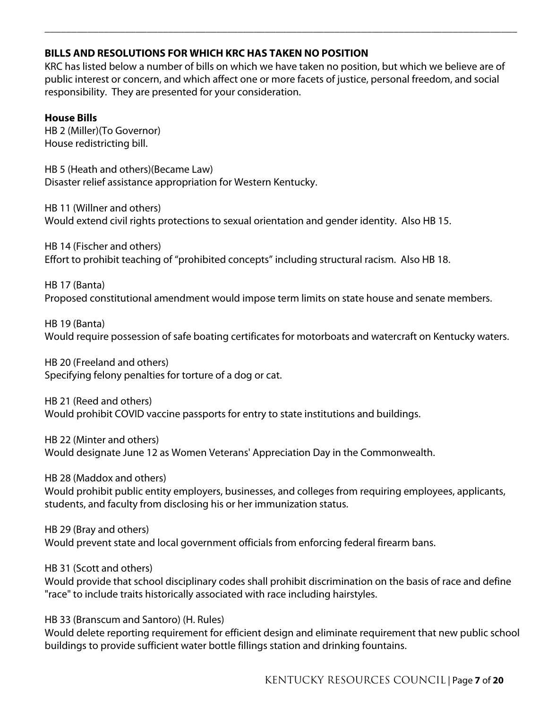## **BILLS AND RESOLUTIONS FOR WHICH KRC HAS TAKEN NO POSITION**

KRC has listed below a number of bills on which we have taken no position, but which we believe are of public interest or concern, and which affect one or more facets of justice, personal freedom, and social responsibility. They are presented for your consideration.

**\_\_\_\_\_\_\_\_\_\_\_\_\_\_\_\_\_\_\_\_\_\_\_\_\_\_\_\_\_\_\_\_\_\_\_\_\_\_\_\_\_\_\_\_\_\_\_\_\_\_\_\_\_\_\_\_\_\_\_\_\_\_\_\_\_\_\_\_\_\_\_\_\_\_\_\_\_\_\_\_\_\_\_\_\_\_\_\_**

#### **House Bills**

HB 2 (Miller)(To Governor) House redistricting bill.

HB 5 (Heath and others)(Became Law) Disaster relief assistance appropriation for Western Kentucky.

HB 11 (Willner and others) Would extend civil rights protections to sexual orientation and gender identity. Also HB 15.

HB 14 (Fischer and others) Effort to prohibit teaching of "prohibited concepts" including structural racism. Also HB 18.

HB 17 (Banta) Proposed constitutional amendment would impose term limits on state house and senate members.

HB 19 (Banta) Would require possession of safe boating certificates for motorboats and watercraft on Kentucky waters.

HB 20 (Freeland and others) Specifying felony penalties for torture of a dog or cat.

HB 21 (Reed and others) Would prohibit COVID vaccine passports for entry to state institutions and buildings.

HB 22 (Minter and others) Would designate June 12 as Women Veterans' Appreciation Day in the Commonwealth.

HB 28 (Maddox and others)

Would prohibit public entity employers, businesses, and colleges from requiring employees, applicants, students, and faculty from disclosing his or her immunization status.

## HB 29 (Bray and others)

Would prevent state and local government officials from enforcing federal firearm bans.

HB 31 (Scott and others)

Would provide that school disciplinary codes shall prohibit discrimination on the basis of race and define "race" to include traits historically associated with race including hairstyles.

HB 33 (Branscum and Santoro) (H. Rules)

Would delete reporting requirement for efficient design and eliminate requirement that new public school buildings to provide sufficient water bottle fillings station and drinking fountains.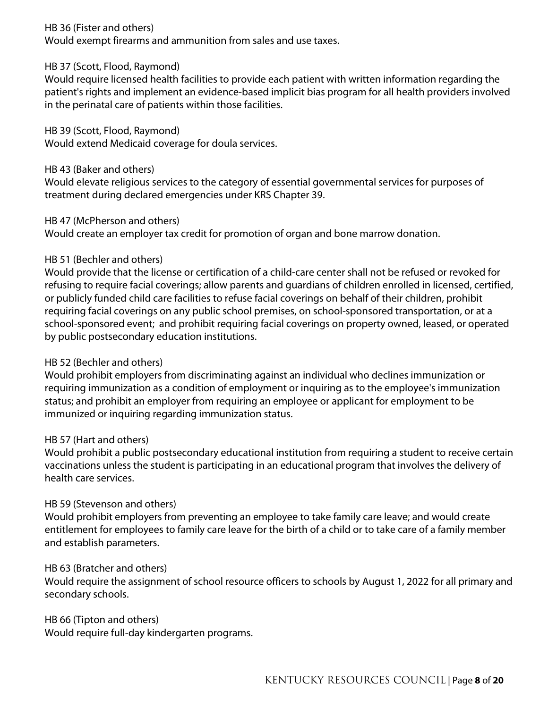HB 36 (Fister and others)

Would exempt firearms and ammunition from sales and use taxes.

#### HB 37 (Scott, Flood, Raymond)

Would require licensed health facilities to provide each patient with written information regarding the patient's rights and implement an evidence-based implicit bias program for all health providers involved in the perinatal care of patients within those facilities.

#### HB 39 (Scott, Flood, Raymond)

Would extend Medicaid coverage for doula services.

HB 43 (Baker and others)

Would elevate religious services to the category of essential governmental services for purposes of treatment during declared emergencies under KRS Chapter 39.

## HB 47 (McPherson and others)

Would create an employer tax credit for promotion of organ and bone marrow donation.

#### HB 51 (Bechler and others)

Would provide that the license or certification of a child-care center shall not be refused or revoked for refusing to require facial coverings; allow parents and guardians of children enrolled in licensed, certified, or publicly funded child care facilities to refuse facial coverings on behalf of their children, prohibit requiring facial coverings on any public school premises, on school-sponsored transportation, or at a school-sponsored event; and prohibit requiring facial coverings on property owned, leased, or operated by public postsecondary education institutions.

## HB 52 (Bechler and others)

Would prohibit employers from discriminating against an individual who declines immunization or requiring immunization as a condition of employment or inquiring as to the employee's immunization status; and prohibit an employer from requiring an employee or applicant for employment to be immunized or inquiring regarding immunization status.

#### HB 57 (Hart and others)

Would prohibit a public postsecondary educational institution from requiring a student to receive certain vaccinations unless the student is participating in an educational program that involves the delivery of health care services.

## HB 59 (Stevenson and others)

Would prohibit employers from preventing an employee to take family care leave; and would create entitlement for employees to family care leave for the birth of a child or to take care of a family member and establish parameters.

#### HB 63 (Bratcher and others)

Would require the assignment of school resource officers to schools by August 1, 2022 for all primary and secondary schools.

#### HB 66 (Tipton and others)

Would require full-day kindergarten programs.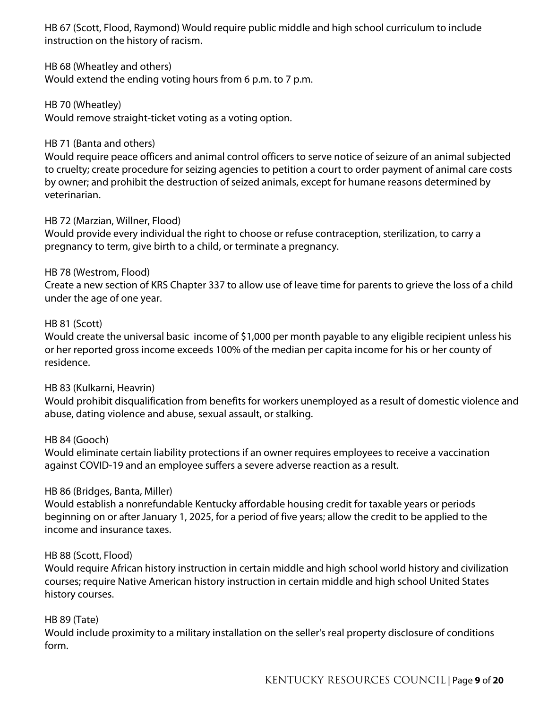HB 67 (Scott, Flood, Raymond) Would require public middle and high school curriculum to include instruction on the history of racism.

HB 68 (Wheatley and others)

Would extend the ending voting hours from 6 p.m. to 7 p.m.

HB 70 (Wheatley) Would remove straight-ticket voting as a voting option.

## HB 71 (Banta and others)

Would require peace officers and animal control officers to serve notice of seizure of an animal subjected to cruelty; create procedure for seizing agencies to petition a court to order payment of animal care costs by owner; and prohibit the destruction of seized animals, except for humane reasons determined by veterinarian.

## HB 72 (Marzian, Willner, Flood)

Would provide every individual the right to choose or refuse contraception, sterilization, to carry a pregnancy to term, give birth to a child, or terminate a pregnancy.

## HB 78 (Westrom, Flood)

Create a new section of KRS Chapter 337 to allow use of leave time for parents to grieve the loss of a child under the age of one year.

## HB 81 (Scott)

Would create the universal basic income of \$1,000 per month payable to any eligible recipient unless his or her reported gross income exceeds 100% of the median per capita income for his or her county of residence.

## HB 83 (Kulkarni, Heavrin)

Would prohibit disqualification from benefits for workers unemployed as a result of domestic violence and abuse, dating violence and abuse, sexual assault, or stalking.

## HB 84 (Gooch)

Would eliminate certain liability protections if an owner requires employees to receive a vaccination against COVID-19 and an employee suffers a severe adverse reaction as a result.

## HB 86 (Bridges, Banta, Miller)

Would establish a nonrefundable Kentucky affordable housing credit for taxable years or periods beginning on or after January 1, 2025, for a period of five years; allow the credit to be applied to the income and insurance taxes.

## HB 88 (Scott, Flood)

Would require African history instruction in certain middle and high school world history and civilization courses; require Native American history instruction in certain middle and high school United States history courses.

## HB 89 (Tate)

Would include proximity to a military installation on the seller's real property disclosure of conditions form.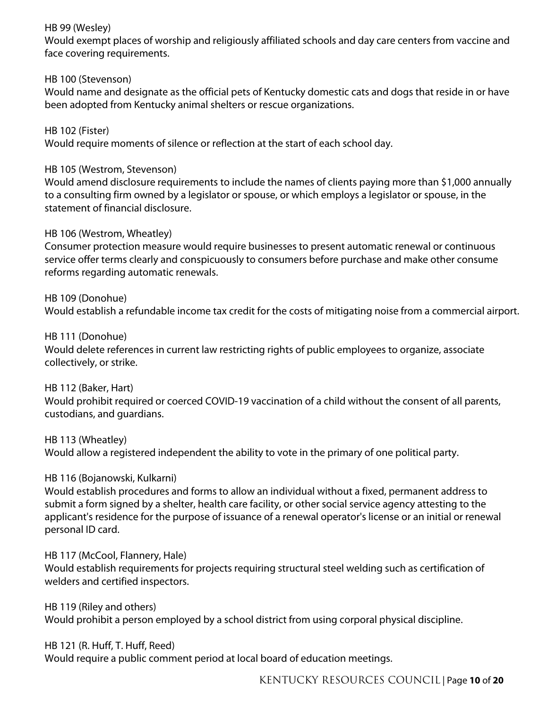## HB 99 (Wesley)

Would exempt places of worship and religiously affiliated schools and day care centers from vaccine and face covering requirements.

## HB 100 (Stevenson)

Would name and designate as the official pets of Kentucky domestic cats and dogs that reside in or have been adopted from Kentucky animal shelters or rescue organizations.

HB 102 (Fister) Would require moments of silence or reflection at the start of each school day.

#### HB 105 (Westrom, Stevenson)

Would amend disclosure requirements to include the names of clients paying more than \$1,000 annually to a consulting firm owned by a legislator or spouse, or which employs a legislator or spouse, in the statement of financial disclosure.

#### HB 106 (Westrom, Wheatley)

Consumer protection measure would require businesses to present automatic renewal or continuous service offer terms clearly and conspicuously to consumers before purchase and make other consume reforms regarding automatic renewals.

#### HB 109 (Donohue)

Would establish a refundable income tax credit for the costs of mitigating noise from a commercial airport.

#### HB 111 (Donohue)

Would delete references in current law restricting rights of public employees to organize, associate collectively, or strike.

#### HB 112 (Baker, Hart)

Would prohibit required or coerced COVID-19 vaccination of a child without the consent of all parents, custodians, and guardians.

#### HB 113 (Wheatley)

Would allow a registered independent the ability to vote in the primary of one political party.

## HB 116 (Bojanowski, Kulkarni)

Would establish procedures and forms to allow an individual without a fixed, permanent address to submit a form signed by a shelter, health care facility, or other social service agency attesting to the applicant's residence for the purpose of issuance of a renewal operator's license or an initial or renewal personal ID card.

HB 117 (McCool, Flannery, Hale) Would establish requirements for projects requiring structural steel welding such as certification of welders and certified inspectors.

HB 119 (Riley and others) Would prohibit a person employed by a school district from using corporal physical discipline.

## HB 121 (R. Huff, T. Huff, Reed) Would require a public comment period at local board of education meetings.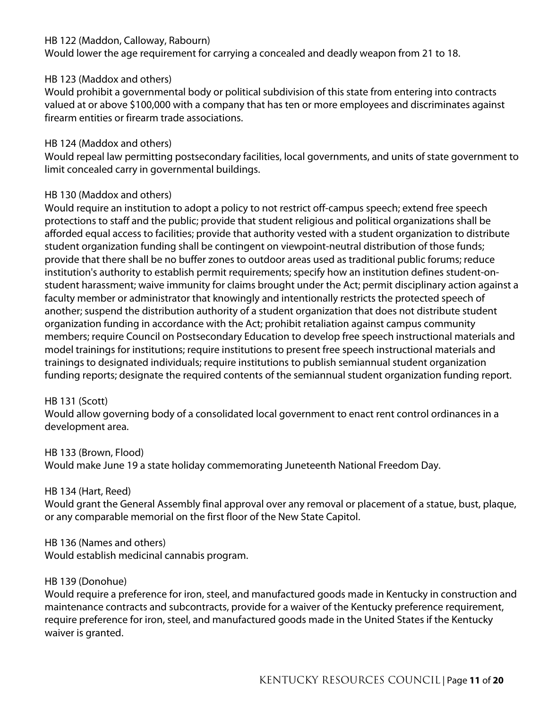#### HB 122 (Maddon, Calloway, Rabourn)

Would lower the age requirement for carrying a concealed and deadly weapon from 21 to 18.

## HB 123 (Maddox and others)

Would prohibit a governmental body or political subdivision of this state from entering into contracts valued at or above \$100,000 with a company that has ten or more employees and discriminates against firearm entities or firearm trade associations.

## HB 124 (Maddox and others)

Would repeal law permitting postsecondary facilities, local governments, and units of state government to limit concealed carry in governmental buildings.

## HB 130 (Maddox and others)

Would require an institution to adopt a policy to not restrict off-campus speech; extend free speech protections to staff and the public; provide that student religious and political organizations shall be afforded equal access to facilities; provide that authority vested with a student organization to distribute student organization funding shall be contingent on viewpoint-neutral distribution of those funds; provide that there shall be no buffer zones to outdoor areas used as traditional public forums; reduce institution's authority to establish permit requirements; specify how an institution defines student-onstudent harassment; waive immunity for claims brought under the Act; permit disciplinary action against a faculty member or administrator that knowingly and intentionally restricts the protected speech of another; suspend the distribution authority of a student organization that does not distribute student organization funding in accordance with the Act; prohibit retaliation against campus community members; require Council on Postsecondary Education to develop free speech instructional materials and model trainings for institutions; require institutions to present free speech instructional materials and trainings to designated individuals; require institutions to publish semiannual student organization funding reports; designate the required contents of the semiannual student organization funding report.

## HB 131 (Scott)

Would allow governing body of a consolidated local government to enact rent control ordinances in a development area.

## HB 133 (Brown, Flood)

Would make June 19 a state holiday commemorating Juneteenth National Freedom Day.

## HB 134 (Hart, Reed)

Would grant the General Assembly final approval over any removal or placement of a statue, bust, plaque, or any comparable memorial on the first floor of the New State Capitol.

## HB 136 (Names and others)

Would establish medicinal cannabis program.

## HB 139 (Donohue)

Would require a preference for iron, steel, and manufactured goods made in Kentucky in construction and maintenance contracts and subcontracts, provide for a waiver of the Kentucky preference requirement, require preference for iron, steel, and manufactured goods made in the United States if the Kentucky waiver is granted.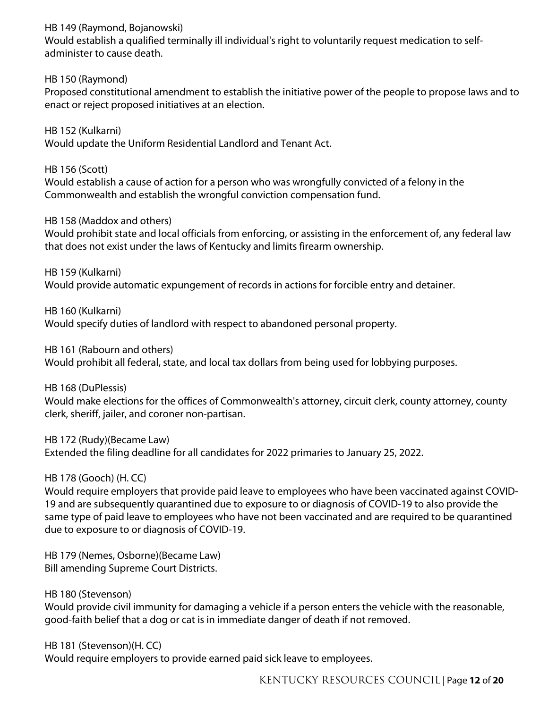## HB 149 (Raymond, Bojanowski)

Would establish a qualified terminally ill individual's right to voluntarily request medication to selfadminister to cause death.

## HB 150 (Raymond)

Proposed constitutional amendment to establish the initiative power of the people to propose laws and to enact or reject proposed initiatives at an election.

HB 152 (Kulkarni) Would update the Uniform Residential Landlord and Tenant Act.

HB 156 (Scott) Would establish a cause of action for a person who was wrongfully convicted of a felony in the Commonwealth and establish the wrongful conviction compensation fund.

## HB 158 (Maddox and others)

Would prohibit state and local officials from enforcing, or assisting in the enforcement of, any federal law that does not exist under the laws of Kentucky and limits firearm ownership.

HB 159 (Kulkarni) Would provide automatic expungement of records in actions for forcible entry and detainer.

HB 160 (Kulkarni) Would specify duties of landlord with respect to abandoned personal property.

HB 161 (Rabourn and others)

Would prohibit all federal, state, and local tax dollars from being used for lobbying purposes.

HB 168 (DuPlessis)

Would make elections for the offices of Commonwealth's attorney, circuit clerk, county attorney, county clerk, sheriff, jailer, and coroner non-partisan.

HB 172 (Rudy)(Became Law) Extended the filing deadline for all candidates for 2022 primaries to January 25, 2022.

HB 178 (Gooch) (H. CC)

Would require employers that provide paid leave to employees who have been vaccinated against COVID-19 and are subsequently quarantined due to exposure to or diagnosis of COVID-19 to also provide the same type of paid leave to employees who have not been vaccinated and are required to be quarantined due to exposure to or diagnosis of COVID-19.

HB 179 (Nemes, Osborne)(Became Law) Bill amending Supreme Court Districts.

HB 180 (Stevenson) Would provide civil immunity for damaging a vehicle if a person enters the vehicle with the reasonable, good-faith belief that a dog or cat is in immediate danger of death if not removed.

HB 181 (Stevenson)(H. CC) Would require employers to provide earned paid sick leave to employees.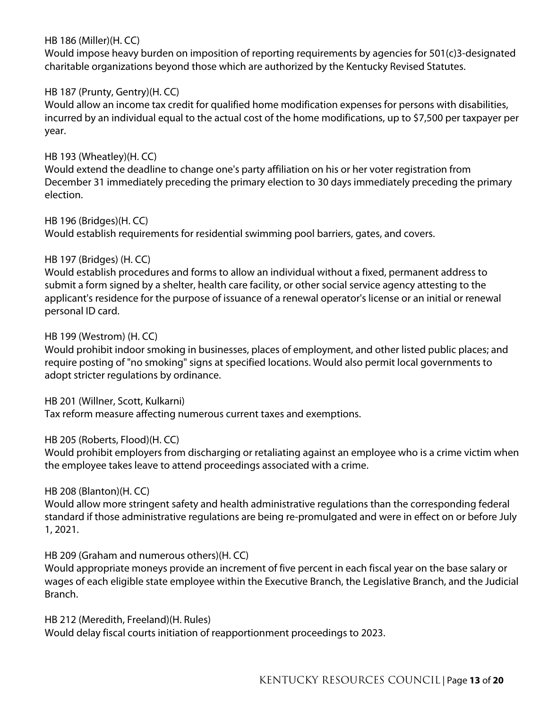#### HB 186 (Miller)(H. CC)

Would impose heavy burden on imposition of reporting requirements by agencies for 501(c)3-designated charitable organizations beyond those which are authorized by the Kentucky Revised Statutes.

#### HB 187 (Prunty, Gentry)(H. CC)

Would allow an income tax credit for qualified home modification expenses for persons with disabilities, incurred by an individual equal to the actual cost of the home modifications, up to \$7,500 per taxpayer per year.

#### HB 193 (Wheatley)(H. CC)

Would extend the deadline to change one's party affiliation on his or her voter registration from December 31 immediately preceding the primary election to 30 days immediately preceding the primary election.

#### HB 196 (Bridges)(H. CC)

Would establish requirements for residential swimming pool barriers, gates, and covers.

#### HB 197 (Bridges) (H. CC)

Would establish procedures and forms to allow an individual without a fixed, permanent address to submit a form signed by a shelter, health care facility, or other social service agency attesting to the applicant's residence for the purpose of issuance of a renewal operator's license or an initial or renewal personal ID card.

#### HB 199 (Westrom) (H. CC)

Would prohibit indoor smoking in businesses, places of employment, and other listed public places; and require posting of "no smoking" signs at specified locations. Would also permit local governments to adopt stricter regulations by ordinance.

HB 201 (Willner, Scott, Kulkarni)

Tax reform measure affecting numerous current taxes and exemptions.

#### HB 205 (Roberts, Flood)(H. CC)

Would prohibit employers from discharging or retaliating against an employee who is a crime victim when the employee takes leave to attend proceedings associated with a crime.

## HB 208 (Blanton)(H. CC)

Would allow more stringent safety and health administrative regulations than the corresponding federal standard if those administrative regulations are being re-promulgated and were in effect on or before July 1, 2021.

HB 209 (Graham and numerous others)(H. CC)

Would appropriate moneys provide an increment of five percent in each fiscal year on the base salary or wages of each eligible state employee within the Executive Branch, the Legislative Branch, and the Judicial Branch.

HB 212 (Meredith, Freeland)(H. Rules) Would delay fiscal courts initiation of reapportionment proceedings to 2023.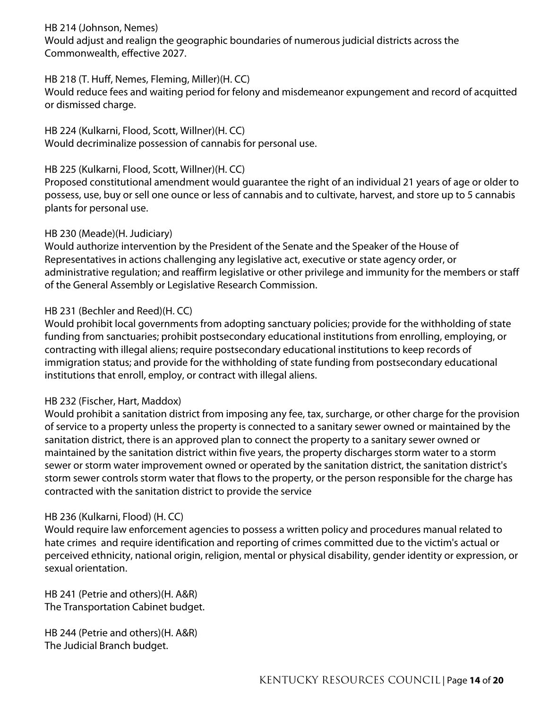## HB 214 (Johnson, Nemes)

Would adjust and realign the geographic boundaries of numerous judicial districts across the Commonwealth, effective 2027.

## HB 218 (T. Huff, Nemes, Fleming, Miller)(H. CC)

Would reduce fees and waiting period for felony and misdemeanor expungement and record of acquitted or dismissed charge.

HB 224 (Kulkarni, Flood, Scott, Willner)(H. CC) Would decriminalize possession of cannabis for personal use.

# HB 225 (Kulkarni, Flood, Scott, Willner)(H. CC)

Proposed constitutional amendment would guarantee the right of an individual 21 years of age or older to possess, use, buy or sell one ounce or less of cannabis and to cultivate, harvest, and store up to 5 cannabis plants for personal use.

## HB 230 (Meade)(H. Judiciary)

Would authorize intervention by the President of the Senate and the Speaker of the House of Representatives in actions challenging any legislative act, executive or state agency order, or administrative regulation; and reaffirm legislative or other privilege and immunity for the members or staff of the General Assembly or Legislative Research Commission.

# HB 231 (Bechler and Reed)(H. CC)

Would prohibit local governments from adopting sanctuary policies; provide for the withholding of state funding from sanctuaries; prohibit postsecondary educational institutions from enrolling, employing, or contracting with illegal aliens; require postsecondary educational institutions to keep records of immigration status; and provide for the withholding of state funding from postsecondary educational institutions that enroll, employ, or contract with illegal aliens.

## HB 232 (Fischer, Hart, Maddox)

Would prohibit a sanitation district from imposing any fee, tax, surcharge, or other charge for the provision of service to a property unless the property is connected to a sanitary sewer owned or maintained by the sanitation district, there is an approved plan to connect the property to a sanitary sewer owned or maintained by the sanitation district within five years, the property discharges storm water to a storm sewer or storm water improvement owned or operated by the sanitation district, the sanitation district's storm sewer controls storm water that flows to the property, or the person responsible for the charge has contracted with the sanitation district to provide the service

# HB 236 (Kulkarni, Flood) (H. CC)

Would require law enforcement agencies to possess a written policy and procedures manual related to hate crimes and require identification and reporting of crimes committed due to the victim's actual or perceived ethnicity, national origin, religion, mental or physical disability, gender identity or expression, or sexual orientation.

HB 241 (Petrie and others)(H. A&R) The Transportation Cabinet budget.

HB 244 (Petrie and others)(H. A&R) The Judicial Branch budget.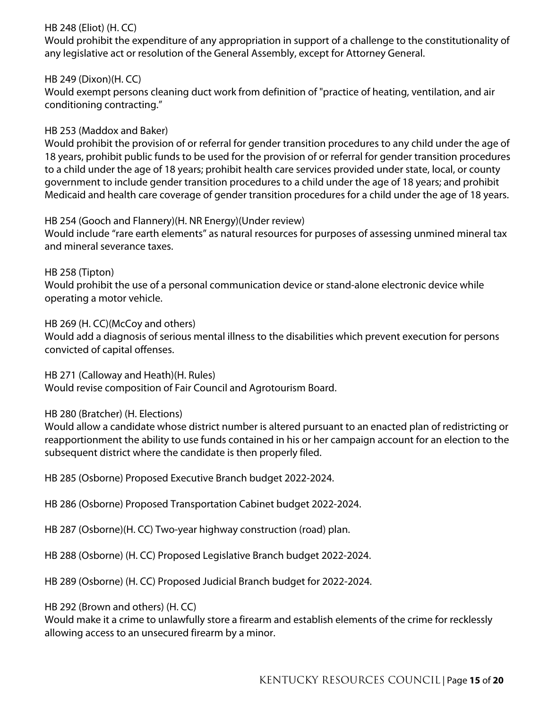## HB 248 (Eliot) (H. CC)

Would prohibit the expenditure of any appropriation in support of a challenge to the constitutionality of any legislative act or resolution of the General Assembly, except for Attorney General.

HB 249 (Dixon)(H. CC)

Would exempt persons cleaning duct work from definition of "practice of heating, ventilation, and air conditioning contracting."

## HB 253 (Maddox and Baker)

Would prohibit the provision of or referral for gender transition procedures to any child under the age of 18 years, prohibit public funds to be used for the provision of or referral for gender transition procedures to a child under the age of 18 years; prohibit health care services provided under state, local, or county government to include gender transition procedures to a child under the age of 18 years; and prohibit Medicaid and health care coverage of gender transition procedures for a child under the age of 18 years.

#### HB 254 (Gooch and Flannery)(H. NR Energy)(Under review)

Would include "rare earth elements" as natural resources for purposes of assessing unmined mineral tax and mineral severance taxes.

HB 258 (Tipton) Would prohibit the use of a personal communication device or stand-alone electronic device while operating a motor vehicle.

#### HB 269 (H. CC)(McCoy and others)

Would add a diagnosis of serious mental illness to the disabilities which prevent execution for persons convicted of capital offenses.

HB 271 (Calloway and Heath)(H. Rules) Would revise composition of Fair Council and Agrotourism Board.

## HB 280 (Bratcher) (H. Elections)

Would allow a candidate whose district number is altered pursuant to an enacted plan of redistricting or reapportionment the ability to use funds contained in his or her campaign account for an election to the subsequent district where the candidate is then properly filed.

HB 285 (Osborne) Proposed Executive Branch budget 2022-2024.

HB 286 (Osborne) Proposed Transportation Cabinet budget 2022-2024.

HB 287 (Osborne)(H. CC) Two-year highway construction (road) plan.

HB 288 (Osborne) (H. CC) Proposed Legislative Branch budget 2022-2024.

HB 289 (Osborne) (H. CC) Proposed Judicial Branch budget for 2022-2024.

#### HB 292 (Brown and others) (H. CC)

Would make it a crime to unlawfully store a firearm and establish elements of the crime for recklessly allowing access to an unsecured firearm by a minor.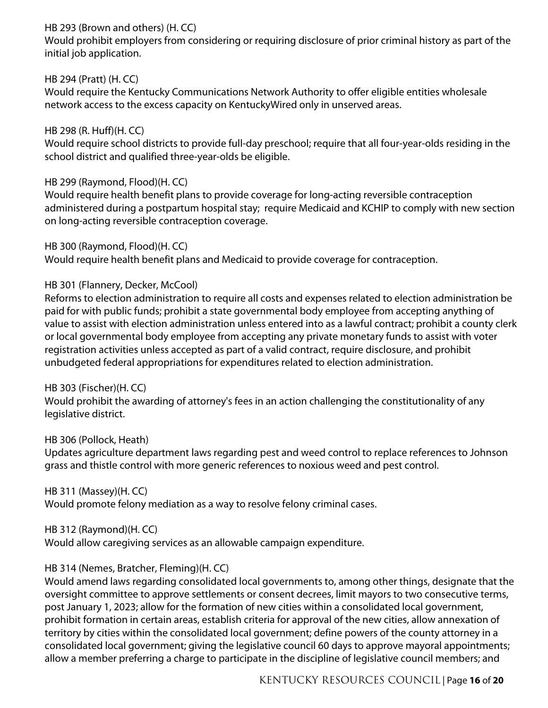## HB 293 (Brown and others) (H. CC)

Would prohibit employers from considering or requiring disclosure of prior criminal history as part of the initial job application.

## HB 294 (Pratt) (H. CC)

Would require the Kentucky Communications Network Authority to offer eligible entities wholesale network access to the excess capacity on KentuckyWired only in unserved areas.

# HB 298 (R. Huff)(H. CC)

Would require school districts to provide full-day preschool; require that all four-year-olds residing in the school district and qualified three-year-olds be eligible.

## HB 299 (Raymond, Flood)(H. CC)

Would require health benefit plans to provide coverage for long-acting reversible contraception administered during a postpartum hospital stay; require Medicaid and KCHIP to comply with new section on long-acting reversible contraception coverage.

HB 300 (Raymond, Flood)(H. CC) Would require health benefit plans and Medicaid to provide coverage for contraception.

## HB 301 (Flannery, Decker, McCool)

Reforms to election administration to require all costs and expenses related to election administration be paid for with public funds; prohibit a state governmental body employee from accepting anything of value to assist with election administration unless entered into as a lawful contract; prohibit a county clerk or local governmental body employee from accepting any private monetary funds to assist with voter registration activities unless accepted as part of a valid contract, require disclosure, and prohibit unbudgeted federal appropriations for expenditures related to election administration.

## HB 303 (Fischer)(H. CC)

Would prohibit the awarding of attorney's fees in an action challenging the constitutionality of any legislative district.

## HB 306 (Pollock, Heath)

Updates agriculture department laws regarding pest and weed control to replace references to Johnson grass and thistle control with more generic references to noxious weed and pest control.

## HB 311 (Massey)(H. CC)

Would promote felony mediation as a way to resolve felony criminal cases.

# HB 312 (Raymond)(H. CC)

Would allow caregiving services as an allowable campaign expenditure.

# HB 314 (Nemes, Bratcher, Fleming)(H. CC)

Would amend laws regarding consolidated local governments to, among other things, designate that the oversight committee to approve settlements or consent decrees, limit mayors to two consecutive terms, post January 1, 2023; allow for the formation of new cities within a consolidated local government, prohibit formation in certain areas, establish criteria for approval of the new cities, allow annexation of territory by cities within the consolidated local government; define powers of the county attorney in a consolidated local government; giving the legislative council 60 days to approve mayoral appointments; allow a member preferring a charge to participate in the discipline of legislative council members; and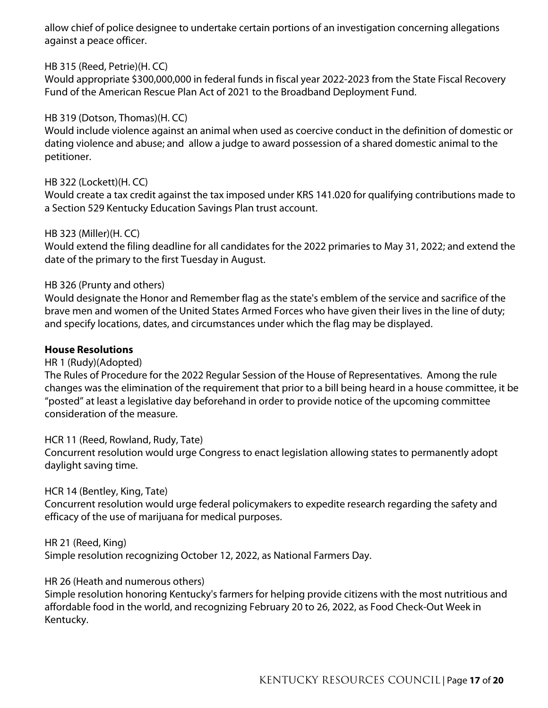allow chief of police designee to undertake certain portions of an investigation concerning allegations against a peace officer.

## HB 315 (Reed, Petrie)(H. CC)

Would appropriate \$300,000,000 in federal funds in fiscal year 2022-2023 from the State Fiscal Recovery Fund of the American Rescue Plan Act of 2021 to the Broadband Deployment Fund.

# HB 319 (Dotson, Thomas)(H. CC)

Would include violence against an animal when used as coercive conduct in the definition of domestic or dating violence and abuse; and allow a judge to award possession of a shared domestic animal to the petitioner.

## HB 322 (Lockett)(H. CC)

Would create a tax credit against the tax imposed under KRS 141.020 for qualifying contributions made to a Section 529 Kentucky Education Savings Plan trust account.

## HB 323 (Miller)(H. CC)

Would extend the filing deadline for all candidates for the 2022 primaries to May 31, 2022; and extend the date of the primary to the first Tuesday in August.

## HB 326 (Prunty and others)

Would designate the Honor and Remember flag as the state's emblem of the service and sacrifice of the brave men and women of the United States Armed Forces who have given their lives in the line of duty; and specify locations, dates, and circumstances under which the flag may be displayed.

## **House Resolutions**

HR 1 (Rudy)(Adopted)

The Rules of Procedure for the 2022 Regular Session of the House of Representatives. Among the rule changes was the elimination of the requirement that prior to a bill being heard in a house committee, it be "posted" at least a legislative day beforehand in order to provide notice of the upcoming committee consideration of the measure.

HCR 11 (Reed, Rowland, Rudy, Tate) Concurrent resolution would urge Congress to enact legislation allowing states to permanently adopt daylight saving time.

## HCR 14 (Bentley, King, Tate)

Concurrent resolution would urge federal policymakers to expedite research regarding the safety and efficacy of the use of marijuana for medical purposes.

## HR 21 (Reed, King)

Simple resolution recognizing October 12, 2022, as National Farmers Day.

## HR 26 (Heath and numerous others)

Simple resolution honoring Kentucky's farmers for helping provide citizens with the most nutritious and affordable food in the world, and recognizing February 20 to 26, 2022, as Food Check-Out Week in Kentucky.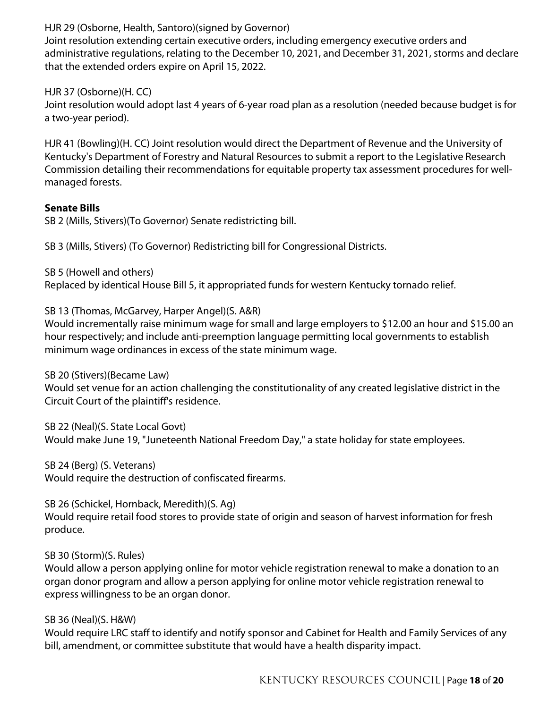HJR 29 (Osborne, Health, Santoro)(signed by Governor)

Joint resolution extending certain executive orders, including emergency executive orders and administrative regulations, relating to the December 10, 2021, and December 31, 2021, storms and declare that the extended orders expire on April 15, 2022.

HJR 37 (Osborne)(H. CC)

Joint resolution would adopt last 4 years of 6-year road plan as a resolution (needed because budget is for a two-year period).

HJR 41 (Bowling)(H. CC) Joint resolution would direct the Department of Revenue and the University of Kentucky's Department of Forestry and Natural Resources to submit a report to the Legislative Research Commission detailing their recommendations for equitable property tax assessment procedures for wellmanaged forests.

#### **Senate Bills**

SB 2 (Mills, Stivers)(To Governor) Senate redistricting bill.

SB 3 (Mills, Stivers) (To Governor) Redistricting bill for Congressional Districts.

SB 5 (Howell and others)

Replaced by identical House Bill 5, it appropriated funds for western Kentucky tornado relief.

SB 13 (Thomas, McGarvey, Harper Angel)(S. A&R)

Would incrementally raise minimum wage for small and large employers to \$12.00 an hour and \$15.00 an hour respectively; and include anti-preemption language permitting local governments to establish minimum wage ordinances in excess of the state minimum wage.

SB 20 (Stivers)(Became Law)

Would set venue for an action challenging the constitutionality of any created legislative district in the Circuit Court of the plaintiff's residence.

SB 22 (Neal)(S. State Local Govt) Would make June 19, "Juneteenth National Freedom Day," a state holiday for state employees.

SB 24 (Berg) (S. Veterans) Would require the destruction of confiscated firearms.

SB 26 (Schickel, Hornback, Meredith)(S. Ag) Would require retail food stores to provide state of origin and season of harvest information for fresh produce.

## SB 30 (Storm)(S. Rules)

Would allow a person applying online for motor vehicle registration renewal to make a donation to an organ donor program and allow a person applying for online motor vehicle registration renewal to express willingness to be an organ donor.

#### SB 36 (Neal)(S. H&W)

Would require LRC staff to identify and notify sponsor and Cabinet for Health and Family Services of any bill, amendment, or committee substitute that would have a health disparity impact.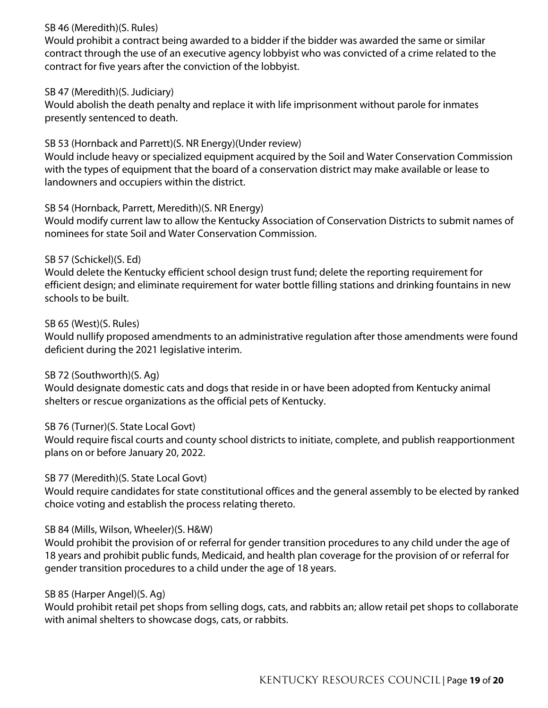## SB 46 (Meredith)(S. Rules)

Would prohibit a contract being awarded to a bidder if the bidder was awarded the same or similar contract through the use of an executive agency lobbyist who was convicted of a crime related to the contract for five years after the conviction of the lobbyist.

## SB 47 (Meredith)(S. Judiciary)

Would abolish the death penalty and replace it with life imprisonment without parole for inmates presently sentenced to death.

## SB 53 (Hornback and Parrett)(S. NR Energy)(Under review)

Would include heavy or specialized equipment acquired by the Soil and Water Conservation Commission with the types of equipment that the board of a conservation district may make available or lease to landowners and occupiers within the district.

## SB 54 (Hornback, Parrett, Meredith)(S. NR Energy)

Would modify current law to allow the Kentucky Association of Conservation Districts to submit names of nominees for state Soil and Water Conservation Commission.

## SB 57 (Schickel)(S. Ed)

Would delete the Kentucky efficient school design trust fund; delete the reporting requirement for efficient design; and eliminate requirement for water bottle filling stations and drinking fountains in new schools to be built.

## SB 65 (West)(S. Rules)

Would nullify proposed amendments to an administrative regulation after those amendments were found deficient during the 2021 legislative interim.

## SB 72 (Southworth)(S. Ag)

Would designate domestic cats and dogs that reside in or have been adopted from Kentucky animal shelters or rescue organizations as the official pets of Kentucky.

## SB 76 (Turner)(S. State Local Govt)

Would require fiscal courts and county school districts to initiate, complete, and publish reapportionment plans on or before January 20, 2022.

## SB 77 (Meredith)(S. State Local Govt)

Would require candidates for state constitutional offices and the general assembly to be elected by ranked choice voting and establish the process relating thereto.

## SB 84 (Mills, Wilson, Wheeler)(S. H&W)

Would prohibit the provision of or referral for gender transition procedures to any child under the age of 18 years and prohibit public funds, Medicaid, and health plan coverage for the provision of or referral for gender transition procedures to a child under the age of 18 years.

## SB 85 (Harper Angel)(S. Ag)

Would prohibit retail pet shops from selling dogs, cats, and rabbits an; allow retail pet shops to collaborate with animal shelters to showcase dogs, cats, or rabbits.